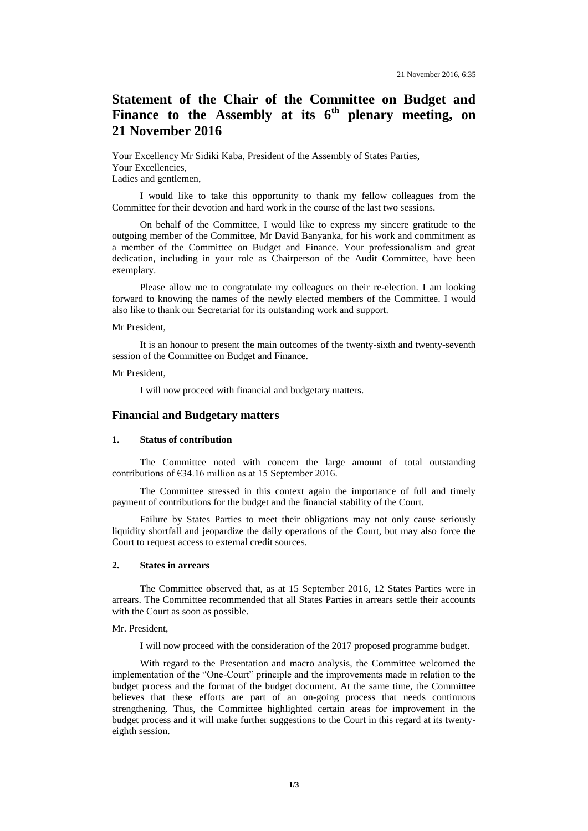# **Statement of the Chair of the Committee on Budget and**  Finance to the Assembly at its 6<sup>th</sup> plenary meeting, on **21 November 2016**

Your Excellency Mr Sidiki Kaba, President of the Assembly of States Parties, Your Excellencies, Ladies and gentlemen,

I would like to take this opportunity to thank my fellow colleagues from the Committee for their devotion and hard work in the course of the last two sessions.

On behalf of the Committee, I would like to express my sincere gratitude to the outgoing member of the Committee, Mr David Banyanka, for his work and commitment as a member of the Committee on Budget and Finance. Your professionalism and great dedication, including in your role as Chairperson of the Audit Committee, have been exemplary.

Please allow me to congratulate my colleagues on their re-election. I am looking forward to knowing the names of the newly elected members of the Committee. I would also like to thank our Secretariat for its outstanding work and support.

#### Mr President,

It is an honour to present the main outcomes of the twenty-sixth and twenty-seventh session of the Committee on Budget and Finance.

#### Mr President,

I will now proceed with financial and budgetary matters.

# **Financial and Budgetary matters**

#### **1. Status of contribution**

The Committee noted with concern the large amount of total outstanding contributions of €34.16 million as at 15 September 2016.

The Committee stressed in this context again the importance of full and timely payment of contributions for the budget and the financial stability of the Court.

Failure by States Parties to meet their obligations may not only cause seriously liquidity shortfall and jeopardize the daily operations of the Court, but may also force the Court to request access to external credit sources.

#### **2. States in arrears**

The Committee observed that, as at 15 September 2016, 12 States Parties were in arrears. The Committee recommended that all States Parties in arrears settle their accounts with the Court as soon as possible.

#### Mr. President,

I will now proceed with the consideration of the 2017 proposed programme budget.

With regard to the Presentation and macro analysis*,* the Committee welcomed the implementation of the "One-Court" principle and the improvements made in relation to the budget process and the format of the budget document. At the same time, the Committee believes that these efforts are part of an on-going process that needs continuous strengthening. Thus, the Committee highlighted certain areas for improvement in the budget process and it will make further suggestions to the Court in this regard at its twentyeighth session.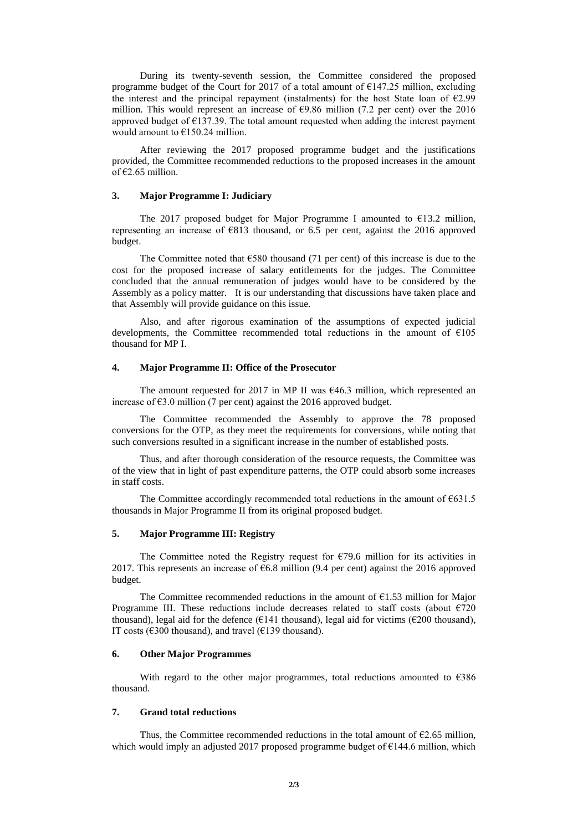During its twenty-seventh session, the Committee considered the proposed programme budget of the Court for 2017 of a total amount of  $E147.25$  million, excluding the interest and the principal repayment (instalments) for the host State loan of  $\epsilon$ 2.99 million. This would represent an increase of  $\epsilon$ 9.86 million (7.2 per cent) over the 2016 approved budget of  $E$ 137.39. The total amount requested when adding the interest payment would amount to  $€150.24$  million.

After reviewing the 2017 proposed programme budget and the justifications provided, the Committee recommended reductions to the proposed increases in the amount of  $€2.65$  million.

## **3. Major Programme I: Judiciary**

The 2017 proposed budget for Major Programme I amounted to  $\epsilon$ 13.2 million, representing an increase of  $\epsilon$ 813 thousand, or 6.5 per cent, against the 2016 approved budget.

The Committee noted that  $\epsilon$ 580 thousand (71 per cent) of this increase is due to the cost for the proposed increase of salary entitlements for the judges. The Committee concluded that the annual remuneration of judges would have to be considered by the Assembly as a policy matter. It is our understanding that discussions have taken place and that Assembly will provide guidance on this issue.

Also, and after rigorous examination of the assumptions of expected judicial developments, the Committee recommended total reductions in the amount of €105 thousand for MP I.

#### **4. Major Programme II: Office of the Prosecutor**

The amount requested for 2017 in MP II was  $\epsilon$ 46.3 million, which represented an increase of  $63.0$  million (7 per cent) against the 2016 approved budget.

The Committee recommended the Assembly to approve the 78 proposed conversions for the OTP, as they meet the requirements for conversions, while noting that such conversions resulted in a significant increase in the number of established posts.

Thus, and after thorough consideration of the resource requests, the Committee was of the view that in light of past expenditure patterns, the OTP could absorb some increases in staff costs.

The Committee accordingly recommended total reductions in the amount of  $E631.5$ thousands in Major Programme II from its original proposed budget.

## **5. Major Programme III: Registry**

The Committee noted the Registry request for  $\epsilon$ 79.6 million for its activities in 2017. This represents an increase of  $66.8$  million (9.4 per cent) against the 2016 approved budget.

The Committee recommended reductions in the amount of  $E1.53$  million for Major Programme III. These reductions include decreases related to staff costs (about  $\epsilon$ 720 thousand), legal aid for the defence ( $E141$  thousand), legal aid for victims ( $E200$  thousand), IT costs ( $\epsilon$ 300 thousand), and travel ( $\epsilon$ 139 thousand).

# **6. Other Major Programmes**

With regard to the other major programmes, total reductions amounted to  $\epsilon$ 386 thousand.

#### **7. Grand total reductions**

Thus, the Committee recommended reductions in the total amount of  $E$ 2.65 million, which would imply an adjusted 2017 proposed programme budget of  $E$ 144.6 million, which